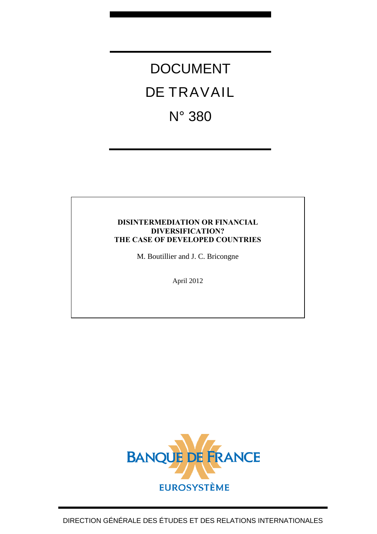# DOCUMENT DE TRAVAIL N° 380

#### **DISINTERMEDIATION OR FINANCIAL DIVERSIFICATION? THE CASE OF DEVELOPED COUNTRIES**

M. Boutillier and J. C. Bricongne

April 2012

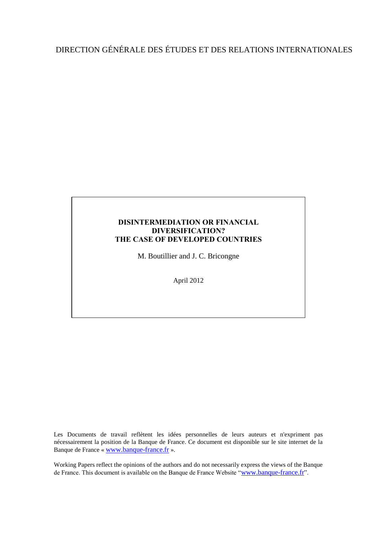### DIRECTION GÉNÉRALE DES ÉTUDES ET DES RELATIONS INTERNATIONALES

#### **DISINTERMEDIATION OR FINANCIAL DIVERSIFICATION? THE CASE OF DEVELOPED COUNTRIES**

M. Boutillier and J. C. Bricongne

April 2012

Les Documents de travail reflètent les idées personnelles de leurs auteurs et n'expriment pas nécessairement la position de la Banque de France. Ce document est disponible sur le site internet de la Banque de France « [www.banque-france.fr](http://www.banque-france.fr/) ».

Working Papers reflect the opinions of the authors and do not necessarily express the views of the Banque de France. This document is available on the Banque de France Website "[www.banque-france.fr](http://www.banque-france.fr/)".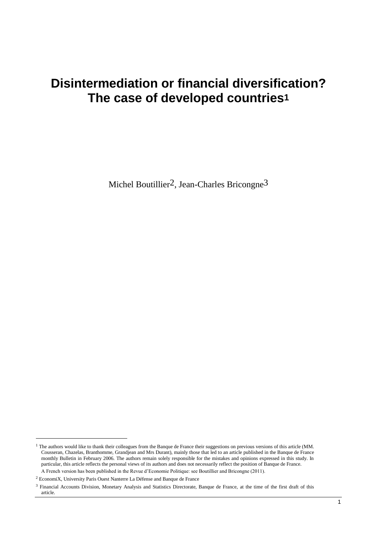## **Disintermediation or financial diversification? The case of developed countries1**

Michel Boutillier<sup>2</sup>, Jean-Charles Bricongne<sup>3</sup>

1

 $1$  The authors would like to thank their colleagues from the Banque de France their suggestions on previous versions of this article (MM. Cousseran, Chazelas, Branthomme, Grandjean and Mrs Durant), mainly those that led to an article published in the Banque de France monthly Bulletin in February 2006. The authors remain solely responsible for the mistakes and opinions expressed in this study. In particular, this article reflects the personal views of its authors and does not necessarily reflect the position of Banque de France. A French version has been published in the Revue d'Economie Politique: see Boutillier and Bricongne (2011).

<sup>2</sup> EconomiX, University Paris Ouest Nanterre La Défense and Banque de France

<sup>3</sup> Financial Accounts Division, Monetary Analysis and Statistics Directorate, Banque de France, at the time of the first draft of this article.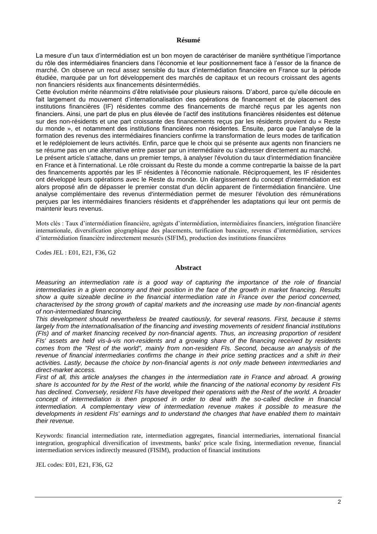#### **Résumé**

La mesure d'un taux d'intermédiation est un bon moyen de caractériser de manière synthétique l'importance du rôle des intermédiaires financiers dans l'économie et leur positionnement face à l'essor de la finance de marché. On observe un recul assez sensible du taux d'intermédiation financière en France sur la période étudiée, marquée par un fort développement des marchés de capitaux et un recours croissant des agents non financiers résidents aux financements désintermédiés.

Cette évolution mérite néanmoins d'être relativisée pour plusieurs raisons. D'abord, parce qu'elle découle en fait largement du mouvement d'internationalisation des opérations de financement et de placement des institutions financières (IF) résidentes comme des financements de marché reçus par les agents non financiers. Ainsi, une part de plus en plus élevée de l'actif des institutions financières résidentes est détenue sur des non-résidents et une part croissante des financements reçus par les résidents provient du « Reste du monde », et notamment des institutions financières non résidentes. Ensuite, parce que l'analyse de la formation des revenus des intermédiaires financiers confirme la transformation de leurs modes de tarification et le redéploiement de leurs activités. Enfin, parce que le choix qui se présente aux agents non financiers ne se résume pas en une alternative entre passer par un intermédiaire ou s'adresser directement au marché.

Le présent article s'attache, dans un premier temps, à analyser l'évolution du taux d'intermédiation financière en France et à l'international. Le rôle croissant du Reste du monde a comme contrepartie la baisse de la part des financements apportés par les IF résidentes à l'économie nationale. Réciproquement, les IF résidentes ont développé leurs opérations avec le Reste du monde. Un élargissement du concept d'intermédiation est alors proposé afin de dépasser le premier constat d'un déclin apparent de l'intermédiation financière. Une analyse complémentaire des revenus d'intermédiation permet de mesurer l'évolution des rémunérations perçues par les intermédiaires financiers résidents et d'appréhender les adaptations qui leur ont permis de maintenir leurs revenus.

Mots clés : Taux d'intermédiation financière, agrégats d'intermédiation, intermédiaires financiers, intégration financière internationale, diversification géographique des placements, tarification bancaire, revenus d'intermédiation, services d'intermédiation financière indirectement mesurés (SIFIM), production des institutions financières

Codes JEL : E01, E21, F36, G2

#### **Abstract**

*Measuring an intermediation rate is a good way of capturing the importance of the role of financial intermediaries in a given economy and their position in the face of the growth in market financing. Results show a quite sizeable decline in the financial intermediation rate in France over the period concerned, characterised by the strong growth of capital markets and the increasing use made by non-financial agents of non-intermediated financing.*

*This development should nevertheless be treated cautiously, for several reasons. First, because it stems largely from the internationalisation of the financing and investing movements of resident financial institutions (FIs) and of market financing received by non-financial agents. Thus, an increasing proportion of resident FIs' assets are held vis-à-vis non-residents and a growing share of the financing received by residents comes from the "Rest of the world", mainly from non-resident FIs. Second, because an analysis of the revenue of financial intermediaries confirms the change in their price setting practices and a shift in their activities. Lastly, because the choice by non-financial agents is not only made between intermediaries and direct-market access.*

*First of all, this article analyses the changes in the intermediation rate in France and abroad. A growing share Is accounted for by the Rest of the world, while the financing of the national economy by resident FIs has declined. Conversely, resident FIs have developed their operations with the Rest of the world. A broader concept of intermediation is then proposed in order to deal with the so-called decline in financial intermediation. A complementary view of intermediation revenue makes it possible to measure the developments in resident FIs' earnings and to understand the changes that have enabled them to maintain their revenue.*

Keywords: financial intermediation rate, intermediation aggregates, financial intermediaries, international financial integration, geographical diversification of investments, banks' price scale fixing, intermediation revenue, financial intermediation services indirectly measured (FISIM), production of financial institutions

JEL codes: E01, E21, F36, G2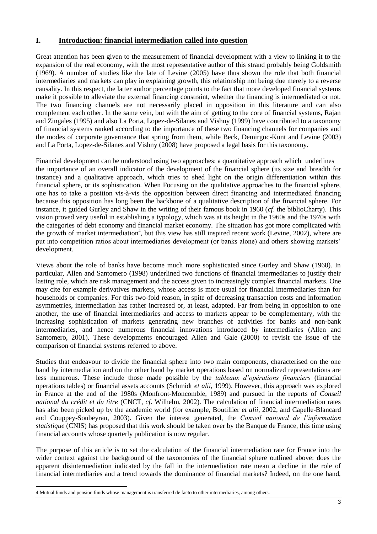#### **I. Introduction: financial intermediation called into question**

Great attention has been given to the measurement of financial development with a view to linking it to the expansion of the real economy, with the most representative author of this strand probably being Goldsmith (1969). A number of studies like the late of Levine (2005) have thus shown the role that both financial intermediaries and markets can play in explaining growth, this relationship not being due merely to a reverse causality. In this respect, the latter author percentage points to the fact that more developed financial systems make it possible to alleviate the external financing constraint, whether the financing is intermediated or not. The two financing channels are not necessarily placed in opposition in this literature and can also complement each other. In the same vein, but with the aim of getting to the core of financial systems, Rajan and Zingales (1995) and also La Porta, Lopez-de-Silanes and Vishny (1999) have contributed to a taxonomy of financial systems ranked according to the importance of these two financing channels for companies and the modes of corporate governance that spring from them, while Beck, Demirguc-Kunt and Levine (2003) and La Porta, Lopez-de-Silanes and Vishny (2008) have proposed a legal basis for this taxonomy.

Financial development can be understood using two approaches: a quantitative approach which underlines the importance of an overall indicator of the development of the financial sphere (its size and breadth for instance) and a qualitative approach, which tries to shed light on the origin differentiation within this financial sphere, or its sophistication. When Focusing on the qualitative approaches to the financial sphere, one has to take a position vis-à-vis the opposition between direct financing and intermediated financing because this opposition has long been the backbone of a qualitative description of the financial sphere. For instance, it guided Gurley and Shaw in the writing of their famous book in 1960 (*cf*. the biblioCharty). This vision proved very useful in establishing a typology, which was at its height in the 1960s and the 1970s with the categories of debt economy and financial market economy. The situation has got more complicated with the growth of market intermediation<sup>4</sup>, but this view has still inspired recent work (Levine, 2002), where are put into competition ratios about intermediaries development (or banks alone) and others showing markets' development.

Views about the role of banks have become much more sophisticated since Gurley and Shaw (1960). In particular, Allen and Santomero (1998) underlined two functions of financial intermediaries to justify their lasting role, which are risk management and the access given to increasingly complex financial markets. One may cite for example derivatives markets, whose access is more usual for financial intermediaries than for households or companies. For this two-fold reason, in spite of decreasing transaction costs and information asymmetries, intermediation has rather increased or, at least, adapted. Far from being in opposition to one another, the use of financial intermediaries and access to markets appear to be complementary, with the increasing sophistication of markets generating new branches of activities for banks and non-bank intermediaries, and hence numerous financial innovations introduced by intermediaries (Allen and Santomero, 2001). These developments encouraged Allen and Gale (2000) to revisit the issue of the comparison of financial systems referred to above.

Studies that endeavour to divide the financial sphere into two main components, characterised on the one hand by intermediation and on the other hand by market operations based on normalized representations are less numerous. These include those made possible by the *tableaux d'opérations financiers* (financial operations tables) or financial assets accounts (Schmidt *et alii*, 1999). However, this approach was explored in France at the end of the 1980s (Monfront-Moncomble, 1989) and pursued in the reports of *Conseil national du crédit et du titre* (CNCT, *cf*. Wilhelm, 2002). The calculation of financial intermediation rates has also been picked up by the academic world (for example, Boutillier *et alii*, 2002, and Capelle-Blancard and Couppey-Soubeyran, 2003). Given the interest generated, the *Conseil national de l'information statistique* (CNIS) has proposed that this work should be taken over by the Banque de France, this time using financial accounts whose quarterly publication is now regular.

The purpose of this article is to set the calculation of the financial intermediation rate for France into the wider context against the background of the taxonomies of the financial sphere outlined above: does the apparent disintermediation indicated by the fall in the intermediation rate mean a decline in the role of financial intermediaries and a trend towards the dominance of financial markets? Indeed, on the one hand,

-4 Mutual funds and pension funds whose management is transferred de facto to other intermediaries, among others.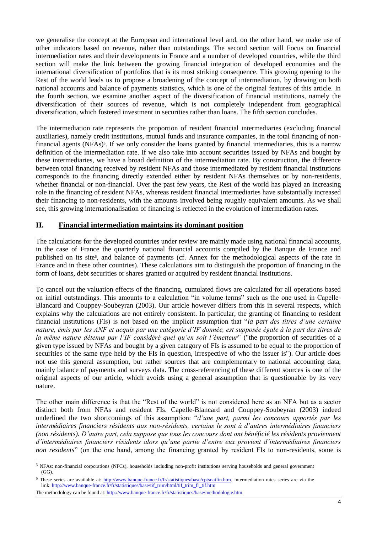we generalise the concept at the European and international level and, on the other hand, we make use of other indicators based on revenue, rather than outstandings. The second section will Focus on financial intermediation rates and their developments in France and a number of developed countries, while the third section will make the link between the growing financial integration of developed economies and the international diversification of portfolios that is its most striking consequence. This growing opening to the Rest of the world leads us to propose a broadening of the concept of intermediation, by drawing on both national accounts and balance of payments statistics, which is one of the original features of this article. In the fourth section, we examine another aspect of the diversification of financial institutions, namely the diversification of their sources of revenue, which is not completely independent from geographical diversification, which fostered investment in securities rather than loans. The fifth section concludes.

The intermediation rate represents the proportion of resident financial intermediaries (excluding financial auxiliaries), namely credit institutions, mutual funds and insurance companies, in the total financing of nonfinancial agents (NFAs)<sup>5</sup>. If we only consider the loans granted by financial intermediaries, this is a narrow definition of the intermediation rate. If we also take into account securities issued by NFAs and bought by these intermediaries, we have a broad definition of the intermediation rate. By construction, the difference between total financing received by resident NFAs and those intermediated by resident financial institutions corresponds to the financing directly extended either by resident NFAs themselves or by non-residents, whether financial or non-financial. Over the past few years, the Rest of the world has played an increasing role in the financing of resident NFAs, whereas resident financial intermediaries have substantially increased their financing to non-residents, with the amounts involved being roughly equivalent amounts. As we shall see, this growing internationalisation of financing is reflected in the evolution of intermediation rates.

#### **II. Financial intermediation maintains its dominant position**

The calculations for the developed countries under review are mainly made using national financial accounts, in the case of France the quarterly national financial accounts compiled by the Banque de France and published on its site<sup>6</sup>, and balance of payments (cf. Annex for the methodological aspects of the rate in France and in these other countries). These calculations aim to distinguish the proportion of financing in the form of loans, debt securities or shares granted or acquired by resident financial institutions.

To cancel out the valuation effects of the financing, cumulated flows are calculated for all operations based on initial outstandings. This amounts to a calculation "in volume terms" such as the one used in Capelle-Blancard and Couppey-Soubeyran (2003). Our article however differs from this in several respects, which explains why the calculations are not entirely consistent. In particular, the granting of financing to resident financial institutions (FIs) is not based on the implicit assumption that "*la part des titres d'une certaine nature, émis par les ANF et acquis par une catégorie d'IF donnée, est supposée égale à la part des titres de la même nature détenus par l'IF considéré quel qu'en soit l'émetteur*" ("the proportion of securities of a given type issued by NFAs and bought by a given category of FIs is assumed to be equal to the proportion of securities of the same type held by the FIs in question, irrespective of who the issuer is"). Our article does not use this general assumption, but rather sources that are complementary to national accounting data, mainly balance of payments and surveys data. The cross-referencing of these different sources is one of the original aspects of our article, which avoids using a general assumption that is questionable by its very nature.

The other main difference is that the "Rest of the world" is not considered here as an NFA but as a sector distinct both from NFAs and resident FIs. Capelle-Blancard and Couppey-Soubeyran (2003) indeed underlined the two shortcomings of this assumption: "*d'une part, parmi les concours apportés par les intermédiaires financiers résidents aux non-résidents, certains le sont à d'autres intermédiaires financiers (non résidents). D'autre part, cela suppose que tous les concours dont ont bénéficié les résidents proviennent d'intermédiaires financiers résidents alors qu'une partie d'entre eux provient d'intermédiaires financiers non residents*" (on the one hand, among the financing granted by resident FIs to non-residents, some is

-

<sup>5</sup> NFAs: non-financial corporations (NFCs), households including non-profit institutions serving households and general government (GG).

<sup>&</sup>lt;sup>6</sup> These series are available at: [http://www.banque-france.fr/fr/statistiques/base/cptsnatfin.htm,](http://www.banque-france.fr/fr/statistiques/base/cptsnatfin.htm) intermediation rates series are via the link: [http://www.banque-france.fr/fr/statistiques/base/tif\\_trim/html/tif\\_trim\\_fr\\_tif.htm](http://www.banque-france.fr/fr/statistiques/base/tif_trim/html/tif_trim_fr_tif.htm) The methodology can be found at[: http://www.banque-france.fr/fr/statistiques/base/methodologie.htm](http://www.banque-france.fr/fr/statistiques/base/methodologie.htm)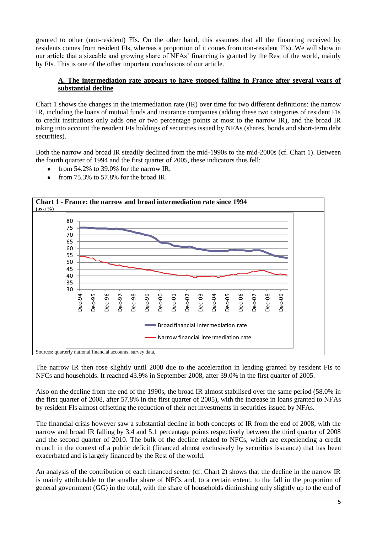granted to other (non-resident) FIs. On the other hand, this assumes that all the financing received by residents comes from resident FIs, whereas a proportion of it comes from non-resident FIs). We will show in our article that a sizeable and growing share of NFAs' financing is granted by the Rest of the world, mainly by FIs. This is one of the other important conclusions of our article.

#### **A. The intermediation rate appears to have stopped falling in France after several years of substantial decline**

Chart 1 shows the changes in the intermediation rate (IR) over time for two different definitions: the narrow IR, including the loans of mutual funds and insurance companies (adding these two categories of resident FIs to credit institutions only adds one or two percentage points at most to the narrow IR), and the broad IR taking into account the resident FIs holdings of securities issued by NFAs (shares, bonds and short-term debt securities).

Both the narrow and broad IR steadily declined from the mid-1990s to the mid-2000s (cf. Chart 1). Between the fourth quarter of 1994 and the first quarter of 2005, these indicators thus fell:

- from 54.2% to 39.0% for the narrow IR;
- from 75.3% to 57.8% for the broad IR.



The narrow IR then rose slightly until 2008 due to the acceleration in lending granted by resident FIs to NFCs and households. It reached 43.9% in September 2008, after 39.0% in the first quarter of 2005.

Also on the decline from the end of the 1990s, the broad IR almost stabilised over the same period (58.0% in the first quarter of 2008, after 57.8% in the first quarter of 2005), with the increase in loans granted to NFAs by resident FIs almost offsetting the reduction of their net investments in securities issued by NFAs.

The financial crisis however saw a substantial decline in both concepts of IR from the end of 2008, with the narrow and broad IR falling by 3.4 and 5.1 percentage points respectively between the third quarter of 2008 and the second quarter of 2010. The bulk of the decline related to NFCs, which are experiencing a credit crunch in the context of a public deficit (financed almost exclusively by securities issuance) that has been exacerbated and is largely financed by the Rest of the world.

An analysis of the contribution of each financed sector (cf. Chart 2) shows that the decline in the narrow IR is mainly attributable to the smaller share of NFCs and, to a certain extent, to the fall in the proportion of general government (GG) in the total, with the share of households diminishing only slightly up to the end of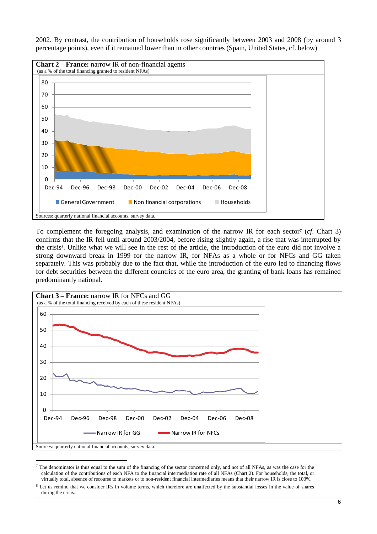

2002. By contrast, the contribution of households rose significantly between 2003 and 2008 (by around 3 percentage points), even if it remained lower than in other countries (Spain, United States, cf. below)

To complement the foregoing analysis, and examination of the narrow IR for each sector<sup>7</sup> (cf. Chart 3) confirms that the IR fell until around 2003/2004, before rising slightly again, a rise that was interrupted by the crisis<sup>8</sup>. Unlike what we will see in the rest of the article, the introduction of the euro did not involve a strong downward break in 1999 for the narrow IR, for NFAs as a whole or for NFCs and GG taken separately. This was probably due to the fact that, while the introduction of the euro led to financing flows for debt securities between the different countries of the euro area, the granting of bank loans has remained predominantly national.



<sup>7</sup> The denominator is thus equal to the sum of the financing of the sector concerned only, and not of all NFAs, as was the case for the calculation of the contributions of each NFA to the financial intermediation rate of all NFAs (Chart 2). For households, the total, or virtually total, absence of recourse to markets or to non-resident financial intermediaries means that their narrow IR is close to 100%.

1

Let us remind that we consider IRs in volume terms, which therefore are unaffected by the substantial losses in the value of shares during the crisis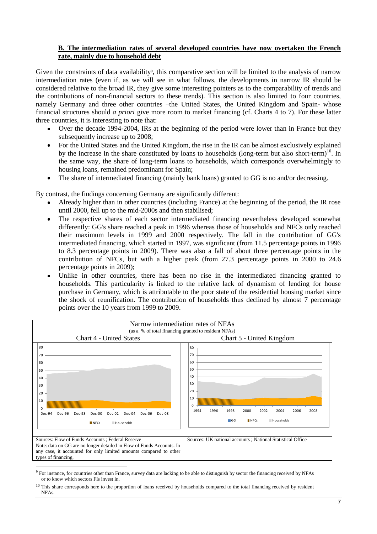#### **B. The intermediation rates of several developed countries have now overtaken the French rate, mainly due to household debt**

Given the constraints of data availability<sup>9</sup>, this comparative section will be limited to the analysis of narrow intermediation rates (even if, as we will see in what follows, the developments in narrow IR should be considered relative to the broad IR, they give some interesting pointers as to the comparability of trends and the contributions of non-financial sectors to these trends). This section is also limited to four countries, namely Germany and three other countries –the United States, the United Kingdom and Spain- whose financial structures should *a priori* give more room to market financing (cf. Charts 4 to 7). For these latter three countries, it is interesting to note that:

- Over the decade 1994-2004, IRs at the beginning of the period were lower than in France but they  $\bullet$ subsequently increase up to 2008:
- For the United States and the United Kingdom, the rise in the IR can be almost exclusively explained  $\bullet$ by the increase in the share constituted by loans to households (long-term but also short-term)<sup>10</sup>. In the same way, the share of long-term loans to households, which corresponds overwhelmingly to housing loans, remained predominant for Spain;
- The share of intermediated financing (mainly bank loans) granted to GG is no and/or decreasing.

By contrast, the findings concerning Germany are significantly different:

- Already higher than in other countries (including France) at the beginning of the period, the IR rose until 2000, fell up to the mid-2000s and then stabilised;
- The respective shares of each sector intermediated financing nevertheless developed somewhat differently: GG's share reached a peak in 1996 whereas those of households and NFCs only reached their maximum levels in 1999 and 2000 respectively. The fall in the contribution of GG's intermediated financing, which started in 1997, was significant (from 11.5 percentage points in 1996 to 8.3 percentage points in 2009). There was also a fall of about three percentage points in the contribution of NFCs, but with a higher peak (from 27.3 percentage points in 2000 to 24.6 percentage points in 2009);
- Unlike in other countries, there has been no rise in the intermediated financing granted to households. This particularity is linked to the relative lack of dynamism of lending for house purchase in Germany, which is attributable to the poor state of the residential housing market since the shock of reunification. The contribution of households thus declined by almost 7 percentage points over the 10 years from 1999 to 2009.



<sup>9</sup> For instance, for countries other than France, survey data are lacking to be able to distinguish by sector the financing received by NFAs or to know which sectors FIs invest in.

<sup>&</sup>lt;sup>10</sup> This share corresponds here to the proportion of loans received by households compared to the total financing received by resident **NFAs**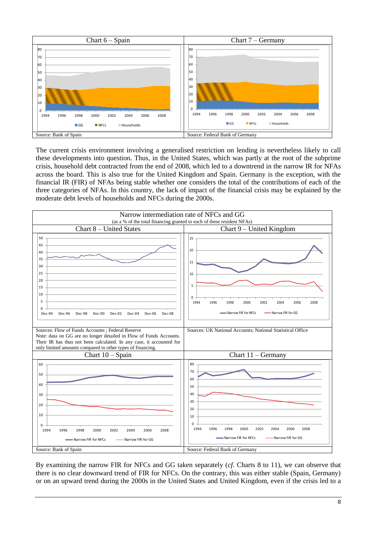

The current crisis environment involving a generalised restriction on lending is nevertheless likely to call these developments into question. Thus, in the United States, which was partly at the root of the subprime crisis, household debt contracted from the end of 2008, which led to a downtrend in the narrow IR for NFAs across the board. This is also true for the United Kingdom and Spain. Germany is the exception, with the financial IR (FIR) of NFAs being stable whether one considers the total of the contributions of each of the three categories of NFAs. In this country, the lack of impact of the financial crisis may be explained by the moderate debt levels of households and NFCs during the 2000s.



By examining the narrow FIR for NFCs and GG taken separately (*cf*. Charts 8 to 11), we can observe that there is no clear downward trend of FIR for NFCs. On the contrary, this was either stable (Spain, Germany) or on an upward trend during the 2000s in the United States and United Kingdom, even if the crisis led to a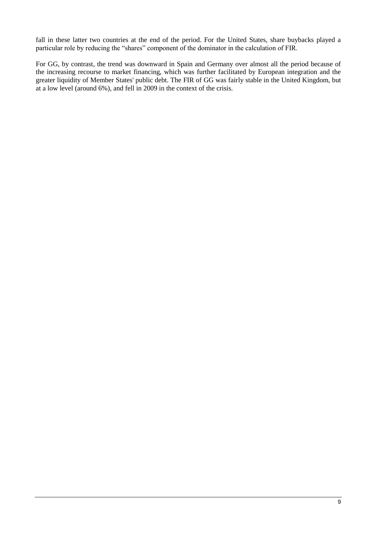fall in these latter two countries at the end of the period. For the United States, share buybacks played a particular role by reducing the "shares" component of the dominator in the calculation of FIR.

For GG, by contrast, the trend was downward in Spain and Germany over almost all the period because of the increasing recourse to market financing, which was further facilitated by European integration and the greater liquidity of Member States' public debt. The FIR of GG was fairly stable in the United Kingdom, but at a low level (around 6%), and fell in 2009 in the context of the crisis.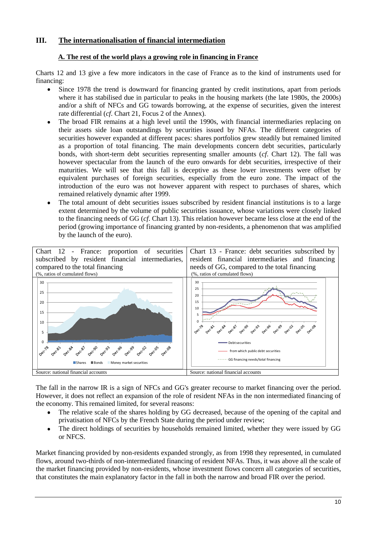#### **III. The internationalisation of financial intermediation**

#### **A. The rest of the world plays a growing role in financing in France**

Charts 12 and 13 give a few more indicators in the case of France as to the kind of instruments used for financing:

- Since 1978 the trend is downward for financing granted by credit institutions, apart from periods  $\bullet$ where it has stabilised due in particular to peaks in the housing markets (the late 1980s, the 2000s) and/or a shift of NFCs and GG towards borrowing, at the expense of securities, given the interest rate differential (*cf*. Chart 21, Focus 2 of the Annex).
- The broad FIR remains at a high level until the 1990s, with financial intermediaries replacing on  $\bullet$ their assets side loan outstandings by securities issued by NFAs. The different categories of securities however expanded at different paces: shares portfolios grew steadily but remained limited as a proportion of total financing. The main developments concern debt securities, particularly bonds, with short-term debt securities representing smaller amounts (*cf*. Chart 12). The fall was however spectacular from the launch of the euro onwards for debt securities, irrespective of their maturities. We will see that this fall is deceptive as these lower investments were offset by equivalent purchases of foreign securities, especially from the euro zone. The impact of the introduction of the euro was not however apparent with respect to purchases of shares, which remained relatively dynamic after 1999.
- The total amount of debt securities issues subscribed by resident financial institutions is to a large  $\bullet$ extent determined by the volume of public securities issuance, whose variations were closely linked to the financing needs of GG (*cf*. Chart 13). This relation however became less close at the end of the period (growing importance of financing granted by non-residents, a phenomenon that was amplified by the launch of the euro).



The fall in the narrow IR is a sign of NFCs and GG's greater recourse to market financing over the period. However, it does not reflect an expansion of the role of resident NFAs in the non intermediated financing of the economy. This remained limited, for several reasons:

- The relative scale of the shares holding by GG decreased, because of the opening of the capital and privatisation of NFCs by the French State during the period under review;
- The direct holdings of securities by households remained limited, whether they were issued by GG  $\bullet$ or NFCS.

Market financing provided by non-residents expanded strongly, as from 1998 they represented, in cumulated flows, around two-thirds of non-intermediated financing of resident NFAs. Thus, it was above all the scale of the market financing provided by non-residents, whose investment flows concern all categories of securities, that constitutes the main explanatory factor in the fall in both the narrow and broad FIR over the period.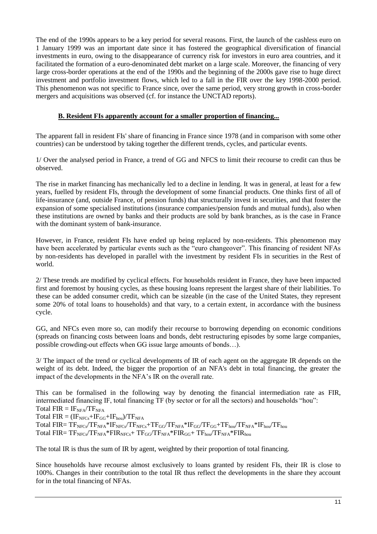The end of the 1990s appears to be a key period for several reasons. First, the launch of the cashless euro on 1 January 1999 was an important date since it has fostered the geographical diversification of financial investments in euro, owing to the disappearance of currency risk for investors in euro area countries, and it facilitated the formation of a euro-denominated debt market on a large scale. Moreover, the financing of very large cross-border operations at the end of the 1990s and the beginning of the 2000s gave rise to huge direct investment and portfolio investment flows, which led to a fall in the FIR over the key 1998-2000 period. This phenomenon was not specific to France since, over the same period, very strong growth in cross-border mergers and acquisitions was observed (cf. for instance the UNCTAD reports).

#### **B. Resident FIs apparently account for a smaller proportion of financing...**

The apparent fall in resident FIs' share of financing in France since 1978 (and in comparison with some other countries) can be understood by taking together the different trends, cycles, and particular events.

1/ Over the analysed period in France, a trend of GG and NFCS to limit their recourse to credit can thus be observed.

The rise in market financing has mechanically led to a decline in lending. It was in general, at least for a few years, fuelled by resident FIs, through the development of some financial products. One thinks first of all of life-insurance (and, outside France, of pension funds) that structurally invest in securities, and that foster the expansion of some specialised institutions (insurance companies/pension funds and mutual funds), also when these institutions are owned by banks and their products are sold by bank branches, as is the case in France with the dominant system of bank-insurance.

However, in France, resident FIs have ended up being replaced by non-residents. This phenomenon may have been accelerated by particular events such as the "euro changeover". This financing of resident NFAs by non-residents has developed in parallel with the investment by resident FIs in securities in the Rest of world.

2/ These trends are modified by cyclical effects. For households resident in France, they have been impacted first and foremost by housing cycles, as these housing loans represent the largest share of their liabilities. To these can be added consumer credit, which can be sizeable (in the case of the United States, they represent some 20% of total loans to households) and that vary, to a certain extent, in accordance with the business cycle.

GG, and NFCs even more so, can modify their recourse to borrowing depending on economic conditions (spreads on financing costs between loans and bonds, debt restructuring episodes by some large companies, possible crowding-out effects when GG issue large amounts of bonds…).

3/ The impact of the trend or cyclical developments of IR of each agent on the aggregate IR depends on the weight of its debt. Indeed, the bigger the proportion of an NFA's debt in total financing, the greater the impact of the developments in the NFA's IR on the overall rate.

This can be formalised in the following way by denoting the financial intermediation rate as FIR, intermediated financing IF, total financing TF (by sector or for all the sectors) and households "hou": Total  $FIR = IF<sub>NFA</sub>/TF<sub>NFA</sub>$ Total  $FIR = (IF_{NFCs} + IF_{GG} + IF_{hou})/TF_{NFA}$ Total  $FIR = TF<sub>NFCs</sub>/TF<sub>NFA</sub>*IF<sub>NFCs</sub>/TF<sub>NFCs</sub>+TF<sub>GG</sub>/TF<sub>NFA</sub>*IF<sub>GG</sub>/TF<sub>GG</sub>+TF<sub>hou</sub>/TF<sub>NFA</sub>*IF<sub>hou</sub>/TF<sub>hou</sub>$ Total  $FIR = TF<sub>NFCs</sub>/TF<sub>NFA</sub> * FIR<sub>NFCs</sub> + TF<sub>GG</sub>/TF<sub>NFA</sub> * FIR<sub>GG</sub> + TF<sub>hou</sub>/TF<sub>NFA</sub> * FIR<sub>hou</sub>$ 

The total IR is thus the sum of IR by agent, weighted by their proportion of total financing.

Since households have recourse almost exclusively to loans granted by resident FIs, their IR is close to 100%. Changes in their contribution to the total IR thus reflect the developments in the share they account for in the total financing of NFAs.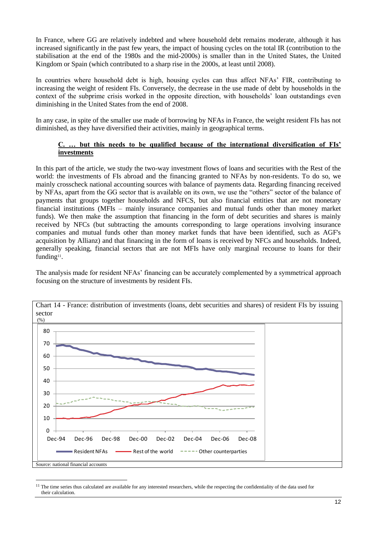In France, where GG are relatively indebted and where household debt remains moderate, although it has increased significantly in the past few years, the impact of housing cycles on the total IR (contribution to the stabilisation at the end of the 1980s and the mid-2000s) is smaller than in the United States, the United Kingdom or Spain (which contributed to a sharp rise in the 2000s, at least until 2008).

In countries where household debt is high, housing cycles can thus affect NFAs' FIR, contributing to increasing the weight of resident FIs. Conversely, the decrease in the use made of debt by households in the context of the subprime crisis worked in the opposite direction, with households' loan outstandings even diminishing in the United States from the end of 2008.

In any case, in spite of the smaller use made of borrowing by NFAs in France, the weight resident FIs has not diminished, as they have diversified their activities, mainly in geographical terms.

#### but this needs to be qualified because of the international diversification of FIs' **investments**

In this part of the article, we study the two-way investment flows of loans and securities with the Rest of the world: the investments of FIs abroad and the financing granted to NFAs by non-residents. To do so, we mainly crosscheck national accounting sources with balance of payments data. Regarding financing received by NFAs, apart from the GG sector that is available on its own, we use the "others" sector of the balance of payments that groups together households and NFCS, but also financial entities that are not monetary financial institutions (MFIs – mainly insurance companies and mutual funds other than money market funds). We then make the assumption that financing in the form of debt securities and shares is mainly received by NFCs (but subtracting the amounts corresponding to large operations involving insurance companies and mutual funds other than money market funds that have been identified, such as AGF's acquisition by Allianz) and that financing in the form of loans is received by NFCs and households. Indeed, generally speaking, financial sectors that are not MFIs have only marginal recourse to loans for their funding<sup>11</sup>.

The analysis made for resident NFAs' financing can be accurately complemented by a symmetrical approach focusing on the structure of investments by resident FIs.



<sup>&</sup>lt;sup>11</sup> The time series thus calculated are available for any interested researchers, while the respecting the confidentiality of the data used for their calculation.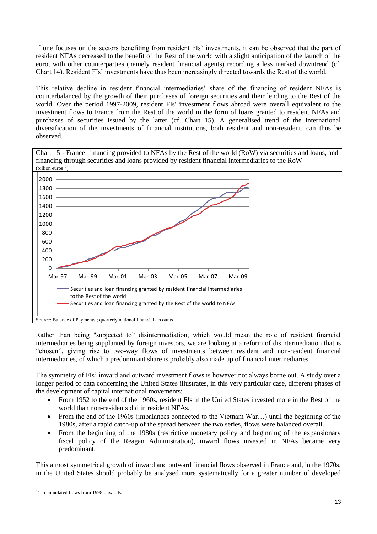If one focuses on the sectors benefiting from resident FIs' investments, it can be observed that the part of resident NFAs decreased to the benefit of the Rest of the world with a slight anticipation of the launch of the euro, with other counterparties (namely resident financial agents) recording a less marked downtrend (cf. Chart 14). Resident FIs' investments have thus been increasingly directed towards the Rest of the world.

This relative decline in resident financial intermediaries' share of the financing of resident NFAs is counterbalanced by the growth of their purchases of foreign securities and their lending to the Rest of the world. Over the period 1997-2009, resident FIs' investment flows abroad were overall equivalent to the investment flows to France from the Rest of the world in the form of loans granted to resident NFAs and purchases of securities issued by the latter (cf. Chart 15). A generalised trend of the international diversification of the investments of financial institutions, both resident and non-resident, can thus be observed.



Rather than being "subjected to" disintermediation, which would mean the role of resident financial intermediaries being supplanted by foreign investors, we are looking at a reform of disintermediation that is "chosen", giving rise to two-way flows of investments between resident and non-resident financial intermediaries, of which a predominant share is probably also made up of financial intermediaries.

The symmetry of FIs' inward and outward investment flows is however not always borne out. A study over a longer period of data concerning the United States illustrates, in this very particular case, different phases of the development of capital international movements:

- From 1952 to the end of the 1960s, resident FIs in the United States invested more in the Rest of the  $\bullet$ world than non-residents did in resident NFAs.
- $\bullet$ From the end of the 1960s (imbalances connected to the Vietnam War…) until the beginning of the 1980s, after a rapid catch-up of the spread between the two series, flows were balanced overall.
- $\bullet$ From the beginning of the 1980s (restrictive monetary policy and beginning of the expansionary fiscal policy of the Reagan Administration), inward flows invested in NFAs became very predominant.

This almost symmetrical growth of inward and outward financial flows observed in France and, in the 1970s, in the United States should probably be analysed more systematically for a greater number of developed

-

<sup>&</sup>lt;sup>12</sup> In cumulated flows from 1998 onwards.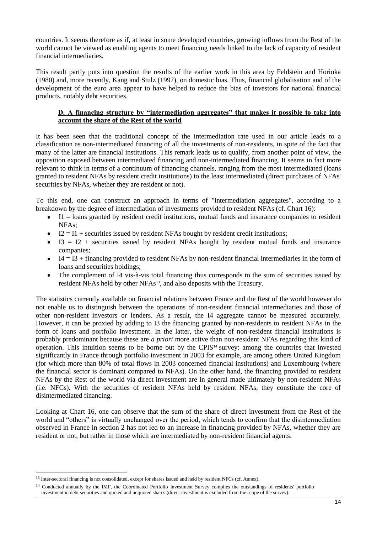countries. It seems therefore as if, at least in some developed countries, growing inflows from the Rest of the world cannot be viewed as enabling agents to meet financing needs linked to the lack of capacity of resident financial intermediaries.

This result partly puts into question the results of the earlier work in this area by Feldstein and Horioka (1980) and, more recently, Kang and Stulz (1997), on domestic bias. Thus, financial globalisation and of the development of the euro area appear to have helped to reduce the bias of investors for national financial products, notably debt securities.

#### **D. A financing structure by "intermediation aggregates" that makes it possible to take into account the share of the Rest of the world**

It has been seen that the traditional concept of the intermediation rate used in our article leads to a classification as non-intermediated financing of all the investments of non-residents, in spite of the fact that many of the latter are financial institutions. This remark leads us to qualify, from another point of view, the opposition exposed between intermediated financing and non-intermediated financing. It seems in fact more relevant to think in terms of a continuum of financing channels, ranging from the most intermediated (loans granted to resident NFAs by resident credit institutions) to the least intermediated (direct purchases of NFAs' securities by NFAs, whether they are resident or not).

To this end, one can construct an approach in terms of "intermediation aggregates", according to a breakdown by the degree of intermediation of investments provided to resident NFAs (cf. Chart 16):

- I1 = loans granted by resident credit institutions, mutual funds and insurance companies to resident  $\bullet$ NFAs;
- $\bullet$  I2 = I1 + securities issued by resident NFAs bought by resident credit institutions;
- $I3 = I2 +$  securities issued by resident NFAs bought by resident mutual funds and insurance  $\bullet$ companies;
- $\bullet$  . I4 = I3 + financing provided to resident NFAs by non-resident financial intermediaries in the form of loans and securities holdings;
- The complement of I4 vis-à-vis total financing thus corresponds to the sum of securities issued by  $\bullet$ resident NFAs held by other NFAs<sup>13</sup>, and also deposits with the Treasury.

The statistics currently available on financial relations between France and the Rest of the world however do not enable us to distinguish between the operations of non-resident financial intermediaries and those of other non-resident investors or lenders. As a result, the I4 aggregate cannot be measured accurately. However, it can be proxied by adding to I3 the financing granted by non-residents to resident NFAs in the form of loans and portfolio investment. In the latter, the weight of non-resident financial institutions is probably predominant because these are *a priori* more active than non-resident NFAs regarding this kind of operation. This intuition seems to be borne out by the CPIS<sup>14</sup> survey: among the countries that invested significantly in France through portfolio investment in 2003 for example, are among others United Kingdom (for which more than 80% of total flows in 2003 concerned financial institutions) and Luxembourg (where the financial sector is dominant compared to NFAs). On the other hand, the financing provided to resident NFAs by the Rest of the world via direct investment are in general made ultimately by non-resident NFAs (i.e. NFCs). With the securities of resident NFAs held by resident NFAs, they constitute the core of disintermediated financing.

Looking at Chart 16, one can observe that the sum of the share of direct investment from the Rest of the world and "others" is virtually unchanged over the period, which tends to confirm that the disintermediation observed in France in section 2 has not led to an increase in financing provided by NFAs, whether they are resident or not, but rather in those which are intermediated by non-resident financial agents.

1

<sup>&</sup>lt;sup>13</sup> Inter-sectoral financing is not consolidated, except for shares issued and held by resident NFCs (cf. Annex).

<sup>&</sup>lt;sup>14</sup> Conducted annually by the IMF, the Coordinated Portfolio Investment Survey compiles the outstandings of residents' portfolio investment in debt securities and quoted and unquoted shares (direct investment is excluded from the scope of the survey).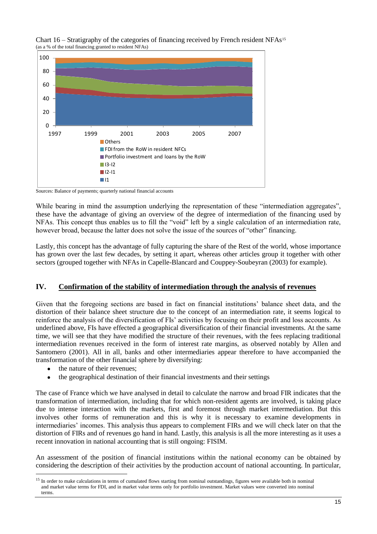



Sources: Balance of payments; quarterly national financial accounts

While bearing in mind the assumption underlying the representation of these "intermediation aggregates". these have the advantage of giving an overview of the degree of intermediation of the financing used by NFAs. This concept thus enables us to fill the "void" left by a single calculation of an intermediation rate, however broad, because the latter does not solve the issue of the sources of "other" financing.

Lastly, this concept has the advantage of fully capturing the share of the Rest of the world, whose importance has grown over the last few decades, by setting it apart, whereas other articles group it together with other sectors (grouped together with NFAs in Capelle-Blancard and Couppey-Soubeyran (2003) for example).

#### **IV. Confirmation of the stability of intermediation through the analysis of revenues**

Given that the foregoing sections are based in fact on financial institutions' balance sheet data, and the distortion of their balance sheet structure due to the concept of an intermediation rate, it seems logical to reinforce the analysis of the diversification of FIs' activities by focusing on their profit and loss accounts. As underlined above, FIs have effected a geographical diversification of their financial investments. At the same time, we will see that they have modified the structure of their revenues, with the fees replacing traditional intermediation revenues received in the form of interest rate margins, as observed notably by Allen and Santomero (2001). All in all, banks and other intermediaries appear therefore to have accompanied the transformation of the other financial sphere by diversifying:

 $\bullet$ the nature of their revenues;

1

the geographical destination of their financial investments and their settings

The case of France which we have analysed in detail to calculate the narrow and broad FIR indicates that the transformation of intermediation, including that for which non-resident agents are involved, is taking place due to intense interaction with the markets, first and foremost through market intermediation. But this involves other forms of remuneration and this is why it is necessary to examine developments in intermediaries' incomes. This analysis thus appears to complement FIRs and we will check later on that the distortion of FIRs and of revenues go hand in hand. Lastly, this analysis is all the more interesting as it uses a recent innovation in national accounting that is still ongoing: FISIM.

An assessment of the position of financial institutions within the national economy can be obtained by considering the description of their activities by the production account of national accounting. In particular,

<sup>&</sup>lt;sup>15</sup> In order to make calculations in terms of cumulated flows starting from nominal outstandings, figures were available both in nominal and market value terms for FDI, and in market value terms only for portfolio investment. Market values were converted into nominal terms.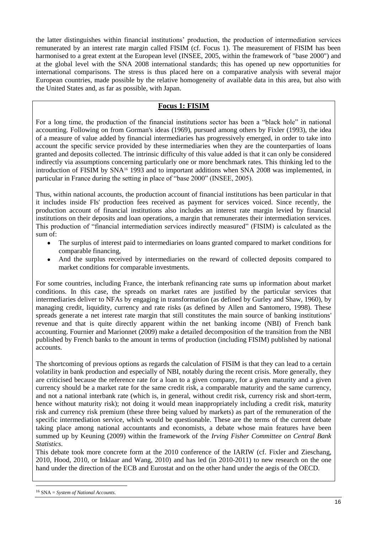the latter distinguishes within financial institutions' production, the production of intermediation services remunerated by an interest rate margin called FISIM (cf. Focus 1). The measurement of FISIM has been harmonised to a great extent at the European level (INSEE, 2005, within the framework of "base 2000") and at the global level with the SNA 2008 international standards; this has opened up new opportunities for international comparisons. The stress is thus placed here on a comparative analysis with several major European countries, made possible by the relative homogeneity of available data in this area, but also with the United States and, as far as possible, with Japan.

#### **Focus 1: FISIM**

For a long time, the production of the financial institutions sector has been a "black hole" in national accounting. Following on from Gorman's ideas (1969), pursued among others by Fixler (1993), the idea of a measure of value added by financial intermediaries has progressively emerged, in order to take into account the specific service provided by these intermediaries when they are the counterparties of loans granted and deposits collected. The intrinsic difficulty of this value added is that it can only be considered indirectly via assumptions concerning particularly one or more benchmark rates. This thinking led to the introduction of FISIM by SNA<sup>16</sup> 1993 and to important additions when SNA 2008 was implemented, in particular in France during the setting in place of "base 2000" (INSEE, 2005).

Thus, within national accounts, the production account of financial institutions has been particular in that it includes inside FIs' production fees received as payment for services voiced. Since recently, the production account of financial institutions also includes an interest rate margin levied by financial institutions on their deposits and loan operations, a margin that remunerates their intermediation services. This production of "financial intermediation services indirectly measured" (FISIM) is calculated as the sum of:

- The surplus of interest paid to intermediaries on loans granted compared to market conditions for comparable financing,
- $\bullet$ And the surplus received by intermediaries on the reward of collected deposits compared to market conditions for comparable investments.

For some countries, including France, the interbank refinancing rate sums up information about market conditions. In this case, the spreads on market rates are justified by the particular services that intermediaries deliver to NFAs by engaging in transformation (as defined by Gurley and Shaw, 1960), by managing credit, liquidity, currency and rate risks (as defined by Allen and Santomero, 1998). These spreads generate a net interest rate margin that still constitutes the main source of banking institutions' revenue and that is quite directly apparent within the net banking income (NBI) of French bank accounting. Fournier and Marionnet (2009) make a detailed decomposition of the transition from the NBI published by French banks to the amount in terms of production (including FISIM) published by national accounts.

The shortcoming of previous options as regards the calculation of FISIM is that they can lead to a certain volatility in bank production and especially of NBI, notably during the recent crisis. More generally, they are criticised because the reference rate for a loan to a given company, for a given maturity and a given currency should be a market rate for the same credit risk, a comparable maturity and the same currency, and not a national interbank rate (which is, in general, without credit risk, currency risk and short-term, hence without maturity risk); not doing it would mean inappropriately including a credit risk, maturity risk and currency risk premium (these three being valued by markets) as part of the remuneration of the specific intermediation service, which would be questionable. These are the terms of the current debate taking place among national accountants and economists, a debate whose main features have been summed up by Keuning (2009) within the framework of the *Irving Fisher Committee on Central Bank Statistics*.

This debate took more concrete form at the 2010 conference of the IARIW (cf. Fixler and Zieschang, 2010, Hood, 2010, or Inklaar and Wang, 2010) and has led (in 2010-2011) to new research on the one hand under the direction of the ECB and Eurostat and on the other hand under the aegis of the OECD.

-

<sup>16</sup> SNA = *System of National Accounts*.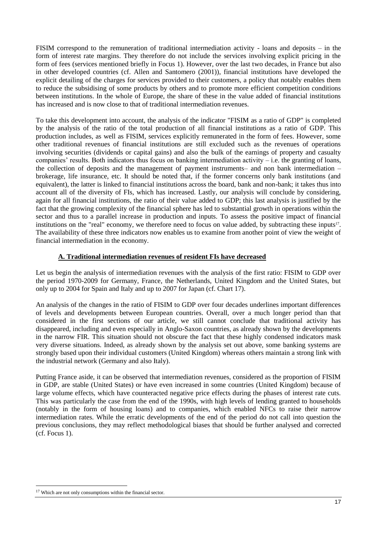FISIM correspond to the remuneration of traditional intermediation activity - loans and deposits – in the form of interest rate margins. They therefore do not include the services involving explicit pricing in the form of fees (services mentioned briefly in Focus 1). However, over the last two decades, in France but also in other developed countries (cf. Allen and Santomero (2001)), financial institutions have developed the explicit detailing of the charges for services provided to their customers, a policy that notably enables them to reduce the subsidising of some products by others and to promote more efficient competition conditions between institutions. In the whole of Europe, the share of these in the value added of financial institutions has increased and is now close to that of traditional intermediation revenues.

To take this development into account, the analysis of the indicator "FISIM as a ratio of GDP" is completed by the analysis of the ratio of the total production of all financial institutions as a ratio of GDP. This production includes, as well as FISIM, services explicitly remunerated in the form of fees. However, some other traditional revenues of financial institutions are still excluded such as the revenues of operations involving securities (dividends or capital gains) and also the bulk of the earnings of property and casualty companies' results. Both indicators thus focus on banking intermediation activity  $-$  i.e. the granting of loans, the collection of deposits and the management of payment instruments– and non bank intermediation – brokerage, life insurance, etc. It should be noted that, if the former concerns only bank institutions (and equivalent), the latter is linked to financial institutions across the board, bank and non-bank; it takes thus into account all of the diversity of FIs, which has increased. Lastly, our analysis will conclude by considering, again for all financial institutions, the ratio of their value added to GDP; this last analysis is justified by the fact that the growing complexity of the financial sphere has led to substantial growth in operations within the sector and thus to a parallel increase in production and inputs. To assess the positive impact of financial institutions on the "real" economy, we therefore need to focus on value added, by subtracting these inputs<sup>17</sup>. The availability of these three indicators now enables us to examine from another point of view the weight of financial intermediation in the economy.

#### **A. Traditional intermediation revenues of resident FIs have decreased**

Let us begin the analysis of intermediation revenues with the analysis of the first ratio: FISIM to GDP over the period 1970-2009 for Germany, France, the Netherlands, United Kingdom and the United States, but only up to 2004 for Spain and Italy and up to 2007 for Japan (cf. Chart 17).

An analysis of the changes in the ratio of FISIM to GDP over four decades underlines important differences of levels and developments between European countries. Overall, over a much longer period than that considered in the first sections of our article, we still cannot conclude that traditional activity has disappeared, including and even especially in Anglo-Saxon countries, as already shown by the developments in the narrow FIR. This situation should not obscure the fact that these highly condensed indicators mask very diverse situations. Indeed, as already shown by the analysis set out above, some banking systems are strongly based upon their individual customers (United Kingdom) whereas others maintain a strong link with the industrial network (Germany and also Italy).

Putting France aside, it can be observed that intermediation revenues, considered as the proportion of FISIM in GDP, are stable (United States) or have even increased in some countries (United Kingdom) because of large volume effects, which have counteracted negative price effects during the phases of interest rate cuts. This was particularly the case from the end of the 1990s, with high levels of lending granted to households (notably in the form of housing loans) and to companies, which enabled NFCs to raise their narrow intermediation rates. While the erratic developments of the end of the period do not call into question the previous conclusions, they may reflect methodological biases that should be further analysed and corrected (cf. Focus 1).

-

<sup>&</sup>lt;sup>17</sup> Which are not only consumptions within the financial sector.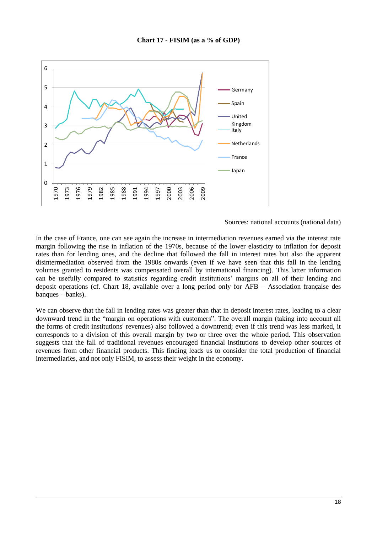

#### Sources: national accounts (national data)

In the case of France, one can see again the increase in intermediation revenues earned via the interest rate margin following the rise in inflation of the 1970s, because of the lower elasticity to inflation for deposit rates than for lending ones, and the decline that followed the fall in interest rates but also the apparent disintermediation observed from the 1980s onwards (even if we have seen that this fall in the lending volumes granted to residents was compensated overall by international financing). This latter information can be usefully compared to statistics regarding credit institutions' margins on all of their lending and deposit operations (cf. Chart 18, available over a long period only for AFB – Association française des banques – banks).

We can observe that the fall in lending rates was greater than that in deposit interest rates, leading to a clear downward trend in the "margin on operations with customers". The overall margin (taking into account all the forms of credit institutions' revenues) also followed a downtrend; even if this trend was less marked, it corresponds to a division of this overall margin by two or three over the whole period. This observation suggests that the fall of traditional revenues encouraged financial institutions to develop other sources of revenues from other financial products. This finding leads us to consider the total production of financial intermediaries, and not only FISIM, to assess their weight in the economy.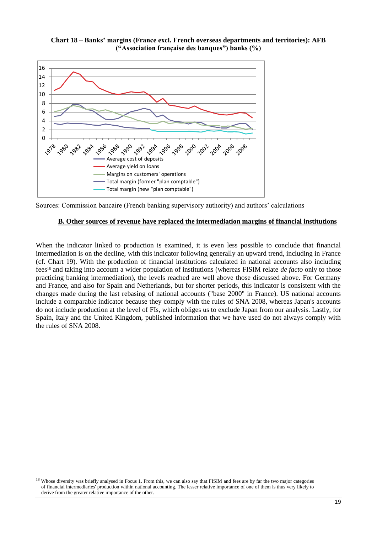



Sources: Commission bancaire (French banking supervisory authority) and authors' calculations

#### **B. Other sources of revenue have replaced the intermediation margins of financial institutions**

When the indicator linked to production is examined, it is even less possible to conclude that financial intermediation is on the decline, with this indicator following generally an upward trend, including in France (cf. Chart 19). With the production of financial institutions calculated in national accounts also including fees<sup>18</sup> and taking into account a wider population of institutions (whereas FISIM relate *de facto* only to those practicing banking intermediation), the levels reached are well above those discussed above. For Germany and France, and also for Spain and Netherlands, but for shorter periods, this indicator is consistent with the changes made during the last rebasing of national accounts ("base 2000" in France). US national accounts include a comparable indicator because they comply with the rules of SNA 2008, whereas Japan's accounts do not include production at the level of FIs, which obliges us to exclude Japan from our analysis. Lastly, for Spain, Italy and the United Kingdom, published information that we have used do not always comply with the rules of SNA 2008.

1

<sup>&</sup>lt;sup>18</sup> Whose diversity was briefly analysed in Focus 1. From this, we can also say that FISIM and fees are by far the two major categories of financial intermediaries' production within national accounting. The lesser relative importance of one of them is thus very likely to derive from the greater relative importance of the other.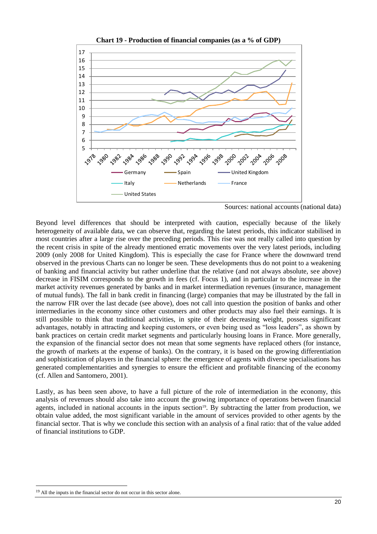

**Chart 19 - Production of financial companies (as a % of GDP)**

Sources: national accounts (national data)

Beyond level differences that should be interpreted with caution, especially because of the likely heterogeneity of available data, we can observe that, regarding the latest periods, this indicator stabilised in most countries after a large rise over the preceding periods. This rise was not really called into question by the recent crisis in spite of the already mentioned erratic movements over the very latest periods, including 2009 (only 2008 for United Kingdom). This is especially the case for France where the downward trend observed in the previous Charts can no longer be seen. These developments thus do not point to a weakening of banking and financial activity but rather underline that the relative (and not always absolute, see above) decrease in FISIM corresponds to the growth in fees (cf. Focus 1), and in particular to the increase in the market activity revenues generated by banks and in market intermediation revenues (insurance, management of mutual funds). The fall in bank credit in financing (large) companies that may be illustrated by the fall in the narrow FIR over the last decade (see above), does not call into question the position of banks and other intermediaries in the economy since other customers and other products may also fuel their earnings. It is still possible to think that traditional activities, in spite of their decreasing weight, possess significant advantages, notably in attracting and keeping customers, or even being used as "loss leaders", as shown by bank practices on certain credit market segments and particularly housing loans in France. More generally, the expansion of the financial sector does not mean that some segments have replaced others (for instance, the growth of markets at the expense of banks). On the contrary, it is based on the growing differentiation and sophistication of players in the financial sphere: the emergence of agents with diverse specialisations has generated complementarities and synergies to ensure the efficient and profitable financing of the economy (cf. Allen and Santomero, 2001).

Lastly, as has been seen above, to have a full picture of the role of intermediation in the economy, this analysis of revenues should also take into account the growing importance of operations between financial agents, included in national accounts in the inputs section<sup>19</sup>. By subtracting the latter from production, we obtain value added, the most significant variable in the amount of services provided to other agents by the financial sector. That is why we conclude this section with an analysis of a final ratio: that of the value added of financial institutions to GDP.

-

<sup>&</sup>lt;sup>19</sup> All the inputs in the financial sector do not occur in this sector alone.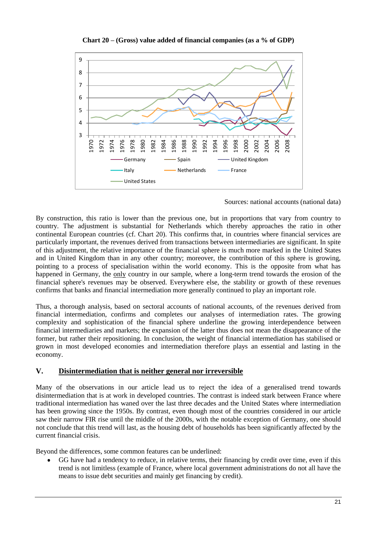

**Chart 20 – (Gross) value added of financial companies (as a % of GDP)**

Sources: national accounts (national data)

By construction, this ratio is lower than the previous one, but in proportions that vary from country to country. The adjustment is substantial for Netherlands which thereby approaches the ratio in other continental European countries (cf. Chart 20). This confirms that, in countries where financial services are particularly important, the revenues derived from transactions between intermediaries are significant. In spite of this adjustment, the relative importance of the financial sphere is much more marked in the United States and in United Kingdom than in any other country; moreover, the contribution of this sphere is growing, pointing to a process of specialisation within the world economy. This is the opposite from what has happened in Germany, the only country in our sample, where a long-term trend towards the erosion of the financial sphere's revenues may be observed. Everywhere else, the stability or growth of these revenues confirms that banks and financial intermediation more generally continued to play an important role.

Thus, a thorough analysis, based on sectoral accounts of national accounts, of the revenues derived from financial intermediation, confirms and completes our analyses of intermediation rates. The growing complexity and sophistication of the financial sphere underline the growing interdependence between financial intermediaries and markets; the expansion of the latter thus does not mean the disappearance of the former, but rather their repositioning. In conclusion, the weight of financial intermediation has stabilised or grown in most developed economies and intermediation therefore plays an essential and lasting in the economy.

#### **V. Disintermediation that is neither general nor irreversible**

Many of the observations in our article lead us to reject the idea of a generalised trend towards disintermediation that is at work in developed countries. The contrast is indeed stark between France where traditional intermediation has waned over the last three decades and the United States where intermediation has been growing since the 1950s. By contrast, even though most of the countries considered in our article saw their narrow FIR rise until the middle of the 2000s, with the notable exception of Germany, one should not conclude that this trend will last, as the housing debt of households has been significantly affected by the current financial crisis.

Beyond the differences, some common features can be underlined:

GG have had a tendency to reduce, in relative terms, their financing by credit over time, even if this trend is not limitless (example of France, where local government administrations do not all have the means to issue debt securities and mainly get financing by credit).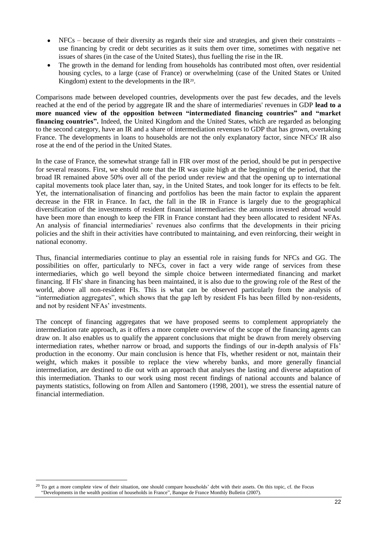- NFCs because of their diversity as regards their size and strategies, and given their constraints use financing by credit or debt securities as it suits them over time, sometimes with negative net issues of shares (in the case of the United States), thus fuelling the rise in the IR.
- The growth in the demand for lending from households has contributed most often, over residential housing cycles, to a large (case of France) or overwhelming (case of the United States or United Kingdom) extent to the developments in the  $IR^{20}$ .

Comparisons made between developed countries, developments over the past few decades, and the levels reached at the end of the period by aggregate IR and the share of intermediaries' revenues in GDP **lead to a more nuanced view of the opposition between "intermediated financing countries" and "market financing countries".** Indeed, the United Kingdom and the United States, which are regarded as belonging to the second category, have an IR and a share of intermediation revenues to GDP that has grown, overtaking France. The developments in loans to households are not the only explanatory factor, since NFCs' IR also rose at the end of the period in the United States.

In the case of France, the somewhat strange fall in FIR over most of the period, should be put in perspective for several reasons. First, we should note that the IR was quite high at the beginning of the period, that the broad IR remained above 50% over all of the period under review and that the opening up to international capital movements took place later than, say, in the United States, and took longer for its effects to be felt. Yet, the internationalisation of financing and portfolios has been the main factor to explain the apparent decrease in the FIR in France. In fact, the fall in the IR in France is largely due to the geographical diversification of the investments of resident financial intermediaries: the amounts invested abroad would have been more than enough to keep the FIR in France constant had they been allocated to resident NFAs. An analysis of financial intermediaries' revenues also confirms that the developments in their pricing policies and the shift in their activities have contributed to maintaining, and even reinforcing, their weight in national economy.

Thus, financial intermediaries continue to play an essential role in raising funds for NFCs and GG. The possibilities on offer, particularly to NFCs, cover in fact a very wide range of services from these intermediaries, which go well beyond the simple choice between intermediated financing and market financing. If FIs' share in financing has been maintained, it is also due to the growing role of the Rest of the world, above all non-resident FIs. This is what can be observed particularly from the analysis of "intermediation aggregates", which shows that the gap left by resident FIs has been filled by non-residents, and not by resident NFAs' investments.

The concept of financing aggregates that we have proposed seems to complement appropriately the intermediation rate approach, as it offers a more complete overview of the scope of the financing agents can draw on. It also enables us to qualify the apparent conclusions that might be drawn from merely observing intermediation rates, whether narrow or broad, and supports the findings of our in-depth analysis of FIs' production in the economy. Our main conclusion is hence that FIs, whether resident or not, maintain their weight, which makes it possible to replace the view whereby banks, and more generally financial intermediation, are destined to die out with an approach that analyses the lasting and diverse adaptation of this intermediation. Thanks to our work using most recent findings of national accounts and balance of payments statistics, following on from Allen and Santomero (1998, 2001), we stress the essential nature of financial intermediation.

1

<sup>&</sup>lt;sup>20</sup> To get a more complete view of their situation, one should compare households' debt with their assets. On this topic, cf. the Focus "Developments in the wealth position of households in France", Banque de France Monthly Bulletin (2007).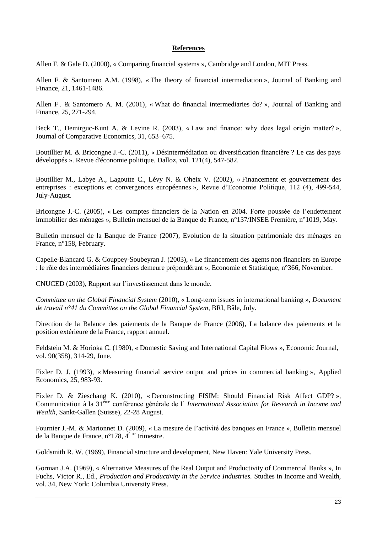#### **References**

Allen F. & Gale D. (2000), « Comparing financial systems », Cambridge and London, MIT Press.

Allen F. & Santomero A.M. (1998), « The theory of financial intermediation », Journal of Banking and Finance, 21, 1461-1486.

Allen F . & Santomero A. M. (2001), « What do financial intermediaries do? », Journal of Banking and Finance, 25, 271-294.

Beck T., Demirguc-Kunt A. & Levine R. (2003), « Law and finance: why does legal origin matter? », Journal of Comparative Economics, 31, 653–675.

Boutillier M. & Bricongne J.-C. (2011), « Désintermédiation ou diversification financière ? Le cas des pays développés ». Revue d'économie politique. Dalloz, vol. 121(4), 547-582.

Boutillier M., Labye A., Lagoutte C., Lévy N. & Oheix V. (2002), « Financement et gouvernement des entreprises : exceptions et convergences européennes », Revue d'Economie Politique, 112 (4), 499-544, July-August.

Bricongne J.-C. (2005), « Les comptes financiers de la Nation en 2004. Forte poussée de l'endettement immobilier des ménages », Bulletin mensuel de la Banque de France, n°137/INSEE Première, n°1019, May.

Bulletin mensuel de la Banque de France (2007), Evolution de la situation patrimoniale des ménages en France, n°158, February.

Capelle-Blancard G. & Couppey-Soubeyran J. (2003), « Le financement des agents non financiers en Europe : le rôle des intermédiaires financiers demeure prépondérant », Economie et Statistique, n°366, November.

CNUCED (2003), Rapport sur l'investissement dans le monde.

*Committee on the Global Financial System* (2010), « Long-term issues in international banking », *Document de travail n°41 du Committee on the Global Financial System*, BRI, Bâle, July.

Direction de la Balance des paiements de la Banque de France (2006), La balance des paiements et la position extérieure de la France, rapport annuel.

Feldstein M. & Horioka C. (1980), « [Domestic Saving and International Capital Flows](http://ideas.repec.org/a/ecj/econjl/v90y1980i358p314-29.html) », [Economic Journal,](http://ideas.repec.org/s/ecj/econjl.html) vol. 90(358), 314-29, June.

Fixler D. J. (1993), « Measuring financial service output and prices in commercial banking », Applied Economics, 25, 983-93.

Fixler D. & Zieschang K. (2010), « Deconstructing FISIM: Should Financial Risk Affect GDP? », Communication à la 31ème conférence générale de l' *International Association for Research in Income and Wealth*, Sankt-Gallen (Suisse), 22-28 August.

Fournier J.-M. & Marionnet D. (2009), « La mesure de l'activité des banques en France », Bulletin mensuel de la Banque de France, n°178, 4ème trimestre.

Goldsmith R. W. (1969), Financial structure and development, New Haven: Yale University Press.

Gorman J.A. (1969), « Alternative Measures of the Real Output and Productivity of Commercial Banks », In Fuchs, Victor R., Ed., *Production and Productivity in the Service Industries.* Studies in Income and Wealth, vol. 34, New York: Columbia University Press.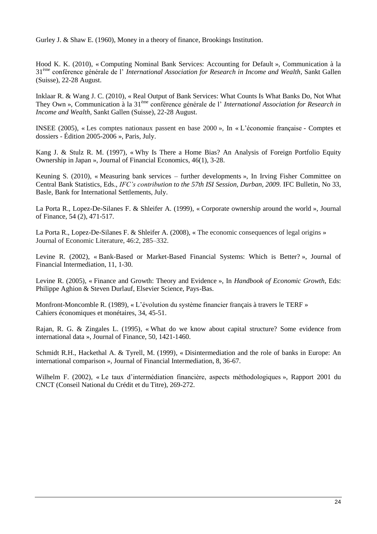Gurley J. & Shaw E. (1960), Money in a theory of finance, Brookings Institution.

Hood K. K. (2010), « Computing Nominal Bank Services: Accounting for Default », Communication à la 31ème conférence générale de l' *International Association for Research in Income and Wealth*, Sankt Gallen (Suisse), 22-28 August.

Inklaar R. & Wang J. C. (2010), « Real Output of Bank Services: What Counts Is What Banks Do, Not What They Own », Communication à la 31ème conférence générale de l' *International Association for Research in Income and Wealth*, Sankt Gallen (Suisse), 22-28 August.

INSEE (2005), « Les comptes nationaux passent en base 2000 », In « L'économie française - Comptes et dossiers - Édition 2005-2006 », Paris, July.

Kang J. & Stulz R. M. (1997), « Why Is There a Home Bias? An Analysis of Foreign Portfolio Equity Ownership in Japan », Journal of Financial Economics, 46(1), 3-28.

Keuning S. (2010), « Measuring bank services – further developments », In Irving Fisher Committee on Central Bank Statistics, Eds., *IFC's contribution to the 57th ISI Session, Durban, 2009.* IFC Bulletin, No 33, Basle, Bank for International Settlements, July.

La Porta R., Lopez-De-Silanes F. & Shleifer A. (1999), « Corporate ownership around the world », Journal of Finance, 54 (2), 471-517.

La Porta R., Lopez-De-Silanes F. & Shleifer A. (2008), « The economic consequences of legal origins » Journal of Economic Literature, 46:2, 285–332.

Levine R. (2002), « Bank-Based or Market-Based Financial Systems: Which is Better? », Journal of Financial Intermediation, 11, 1-30.

Levine R. (2005), « Finance and Growth: Theory and Evidence », In *Handbook of Economic Growth*, Eds: Philippe Aghion & Steven Durlauf, Elsevier Science, Pays-Bas.

Monfront-Moncomble R. (1989), « L'évolution du système financier français à travers le TERF » Cahiers économiques et monétaires, 34, 45-51.

Rajan, R. G. & Zingales L. (1995), « What do we know about capital structure? Some evidence from international data », Journal of Finance, 50, 1421-1460.

Schmidt R.H., Hackethal A. & Tyrell, M. (1999), « Disintermediation and the role of banks in Europe: An international comparison », Journal of Financial Intermediation, 8, 36-67.

Wilhelm F. (2002), « Le taux d'intermédiation financière, aspects méthodologiques », Rapport 2001 du CNCT (Conseil National du Crédit et du Titre), 269-272.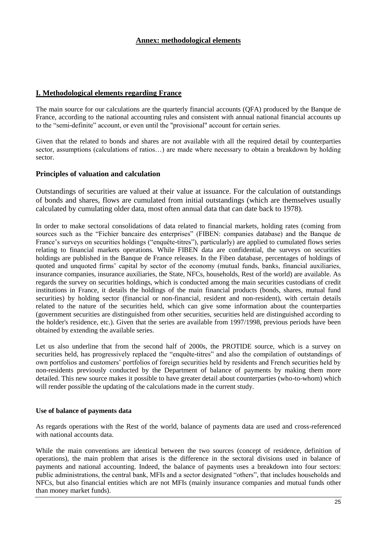#### **I. Methodological elements regarding France**

The main source for our calculations are the quarterly financial accounts (QFA) produced by the Banque de France, according to the national accounting rules and consistent with annual national financial accounts up to the "semi-definite" account, or even until the "provisional" account for certain series.

Given that the related to bonds and shares are not available with all the required detail by counterparties sector, assumptions (calculations of ratios…) are made where necessary to obtain a breakdown by holding sector.

#### **Principles of valuation and calculation**

Outstandings of securities are valued at their value at issuance. For the calculation of outstandings of bonds and shares, flows are cumulated from initial outstandings (which are themselves usually calculated by cumulating older data, most often annual data that can date back to 1978).

In order to make sectoral consolidations of data related to financial markets, holding rates (coming from sources such as the "Fichier bancaire des enterprises" (FIBEN: companies database) and the Banque de France's surveys on securities holdings ("enquête-titres"), particularly) are applied to cumulated flows series relating to financial markets operations. While FIBEN data are confidential, the surveys on securities holdings are published in the Banque de France releases. In the Fiben database, percentages of holdings of quoted and unquoted firms' capital by sector of the economy (mutual funds, banks, financial auxiliaries, insurance companies, insurance auxiliaries, the State, NFCs, households, Rest of the world) are available. As regards the survey on securities holdings, which is conducted among the main securities custodians of credit institutions in France, it details the holdings of the main financial products (bonds, shares, mutual fund securities) by holding sector (financial or non-financial, resident and non-resident), with certain details related to the nature of the securities held, which can give some information about the counterparties (government securities are distinguished from other securities, securities held are distinguished according to the holder's residence, etc.). Given that the series are available from 1997/1998, previous periods have been obtained by extending the available series.

Let us also underline that from the second half of 2000s, the PROTIDE source, which is a survey on securities held, has progressively replaced the "enquête-titres" and also the compilation of outstandings of own portfolios and customers' portfolios of foreign securities held by residents and French securities held by non-residents previously conducted by the Department of balance of payments by making them more detailed. This new source makes it possible to have greater detail about counterparties (who-to-whom) which will render possible the updating of the calculations made in the current study.

#### **Use of balance of payments data**

As regards operations with the Rest of the world, balance of payments data are used and cross-referenced with national accounts data

While the main conventions are identical between the two sources (concept of residence, definition of operations), the main problem that arises is the difference in the sectoral divisions used in balance of payments and national accounting. Indeed, the balance of payments uses a breakdown into four sectors: public administrations, the central bank, MFIs and a sector designated "others", that includes households and NFCs, but also financial entities which are not MFIs (mainly insurance companies and mutual funds other than money market funds).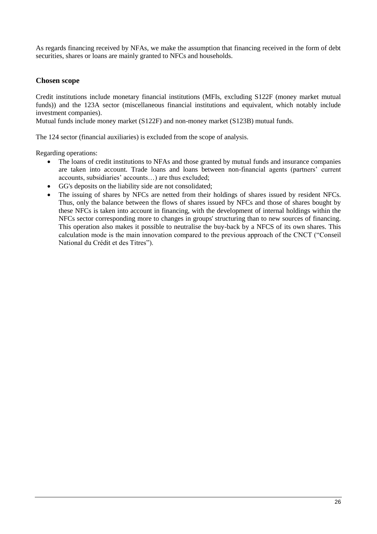As regards financing received by NFAs, we make the assumption that financing received in the form of debt securities, shares or loans are mainly granted to NFCs and households.

#### **Chosen scope**

Credit institutions include monetary financial institutions (MFIs, excluding S122F (money market mutual funds)) and the 123A sector (miscellaneous financial institutions and equivalent, which notably include investment companies).

Mutual funds include money market (S122F) and non-money market (S123B) mutual funds.

The 124 sector (financial auxiliaries) is excluded from the scope of analysis.

Regarding operations:

- The loans of credit institutions to NFAs and those granted by mutual funds and insurance companies are taken into account. Trade loans and loans between non-financial agents (partners' current accounts, subsidiaries' accounts…) are thus excluded;
- GG's deposits on the liability side are not consolidated;  $\bullet$
- The issuing of shares by NFCs are netted from their holdings of shares issued by resident NFCs. Thus, only the balance between the flows of shares issued by NFCs and those of shares bought by these NFCs is taken into account in financing, with the development of internal holdings within the NFCs sector corresponding more to changes in groups' structuring than to new sources of financing. This operation also makes it possible to neutralise the buy-back by a NFCS of its own shares. This calculation mode is the main innovation compared to the previous approach of the CNCT ("Conseil National du Crédit et des Titres").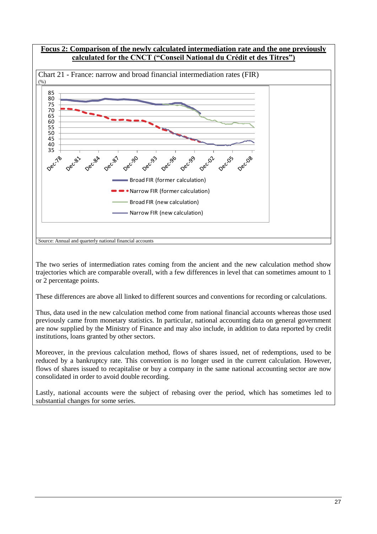

The two series of intermediation rates coming from the ancient and the new calculation method show trajectories which are comparable overall, with a few differences in level that can sometimes amount to 1 or 2 percentage points.

These differences are above all linked to different sources and conventions for recording or calculations.

Thus, data used in the new calculation method come from national financial accounts whereas those used previously came from monetary statistics. In particular, national accounting data on general government are now supplied by the Ministry of Finance and may also include, in addition to data reported by credit institutions, loans granted by other sectors.

Moreover, in the previous calculation method, flows of shares issued, net of redemptions, used to be reduced by a bankruptcy rate. This convention is no longer used in the current calculation. However, flows of shares issued to recapitalise or buy a company in the same national accounting sector are now consolidated in order to avoid double recording.

Lastly, national accounts were the subject of rebasing over the period, which has sometimes led to substantial changes for some series.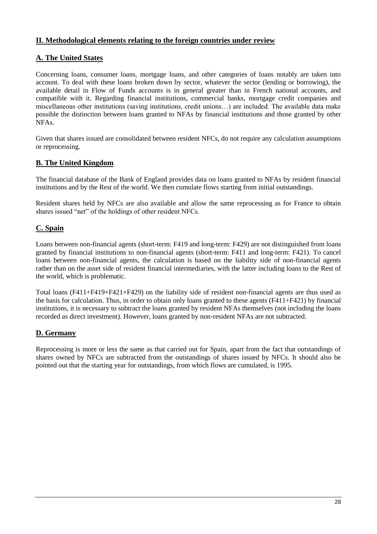#### **II. Methodological elements relating to the foreign countries under review**

#### **A. The United States**

Concerning loans, consumer loans, mortgage loans, and other categories of loans notably are taken into account. To deal with these loans broken down by sector, whatever the sector (lending or borrowing), the available detail in Flow of Funds accounts is in general greater than in French national accounts, and compatible with it. Regarding financial institutions, commercial banks, mortgage credit companies and miscellaneous other institutions (saving institutions, credit unions…) are included. The available data make possible the distinction between loans granted to NFAs by financial institutions and those granted by other NFAs.

Given that shares issued are consolidated between resident NFCs, do not require any calculation assumptions or reprocessing.

#### **B. The United Kingdom**

The financial database of the Bank of England provides data on loans granted to NFAs by resident financial institutions and by the Rest of the world. We then cumulate flows starting from initial outstandings.

Resident shares held by NFCs are also available and allow the same reprocessing as for France to obtain shares issued "net" of the holdings of other resident NFCs.

#### **C. Spain**

Loans between non-financial agents (short-term: F419 and long-term: F429) are not distinguished from loans granted by financial institutions to non-financial agents (short-term: F411 and long-term: F421). To cancel loans between non-financial agents, the calculation is based on the liability side of non-financial agents rather than on the asset side of resident financial intermediaries, with the latter including loans to the Rest of the world, which is problematic.

Total loans (F411+F419+F421+F429) on the liability side of resident non-financial agents are thus used as the basis for calculation. Thus, in order to obtain only loans granted to these agents (F411+F421) by financial institutions, it is necessary to subtract the loans granted by resident NFAs themselves (not including the loans recorded as direct investment). However, loans granted by non-resident NFAs are not subtracted.

#### **D. Germany**

Reprocessing is more or less the same as that carried out for Spain, apart from the fact that outstandings of shares owned by NFCs are subtracted from the outstandings of shares issued by NFCs. It should also be pointed out that the starting year for outstandings, from which flows are cumulated, is 1995.